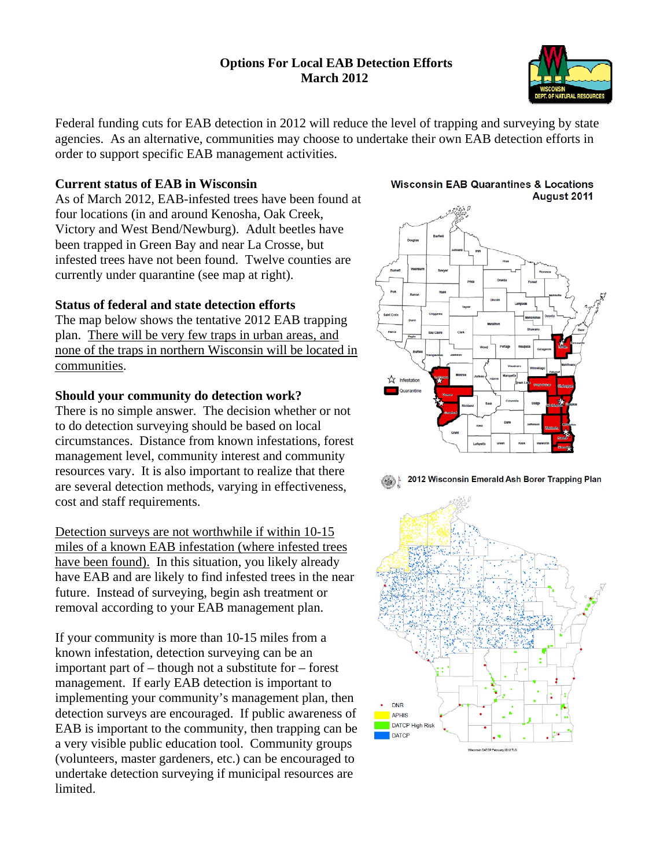## **Options For Local EAB Detection Efforts March 2012**



Federal funding cuts for EAB detection in 2012 will reduce the level of trapping and surveying by state agencies. As an alternative, communities may choose to undertake their own EAB detection efforts in order to support specific EAB management activities.

## **Current status of EAB in Wisconsin**

As of March 2012, EAB-infested trees have been found at four locations (in and around Kenosha, Oak Creek, Victory and West Bend/Newburg). Adult beetles have been trapped in Green Bay and near La Crosse, but infested trees have not been found. Twelve counties are currently under quarantine (see map at right).

## **Status of federal and state detection efforts**

The map below shows the tentative 2012 EAB trapping plan. There will be very few traps in urban areas, and none of the traps in northern Wisconsin will be located in communities.

## **Should your community do detection work?**

There is no simple answer. The decision whether or not to do detection surveying should be based on local circumstances. Distance from known infestations, forest management level, community interest and community resources vary. It is also important to realize that there are several detection methods, varying in effectiveness, cost and staff requirements.

Detection surveys are not worthwhile if within 10-15 miles of a known EAB infestation (where infested trees have been found). In this situation, you likely already have EAB and are likely to find infested trees in the near future. Instead of surveying, begin ash treatment or removal according to your EAB management plan.

If your community is more than 10-15 miles from a known infestation, detection surveying can be an important part of – though not a substitute for – forest management. If early EAB detection is important to implementing your community's management plan, then detection surveys are encouraged. If public awareness of EAB is important to the community, then trapping can be a very visible public education tool. Community groups (volunteers, master gardeners, etc.) can be encouraged to undertake detection surveying if municipal resources are limited.

#### **Wisconsin EAB Quarantines & Locations** August 2011



2012 Wisconsin Emerald Ash Borer Trapping Plan

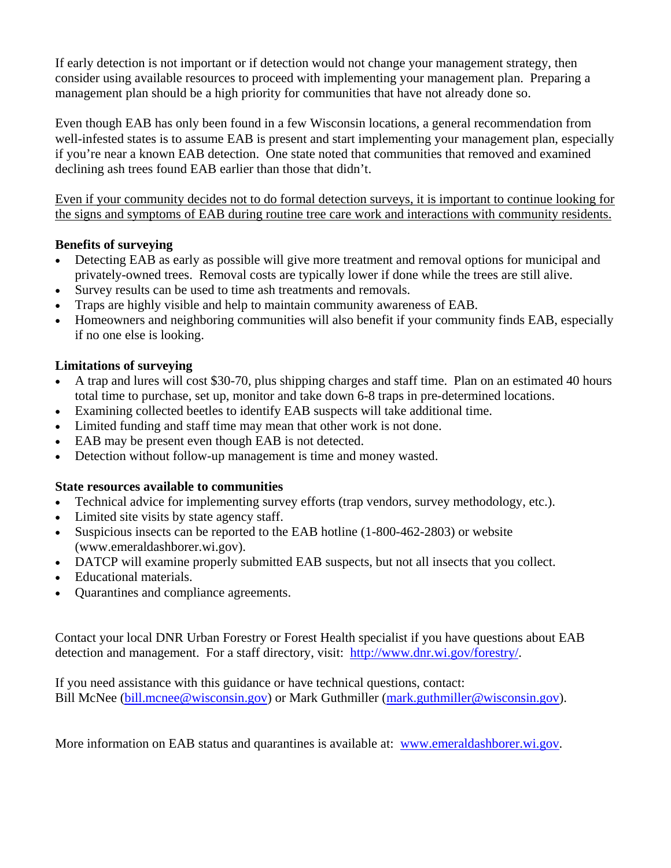If early detection is not important or if detection would not change your management strategy, then consider using available resources to proceed with implementing your management plan. Preparing a management plan should be a high priority for communities that have not already done so.

Even though EAB has only been found in a few Wisconsin locations, a general recommendation from well-infested states is to assume EAB is present and start implementing your management plan, especially if you're near a known EAB detection. One state noted that communities that removed and examined declining ash trees found EAB earlier than those that didn't.

Even if your community decides not to do formal detection surveys, it is important to continue looking for the signs and symptoms of EAB during routine tree care work and interactions with community residents.

# **Benefits of surveying**

- Detecting EAB as early as possible will give more treatment and removal options for municipal and privately-owned trees. Removal costs are typically lower if done while the trees are still alive.
- Survey results can be used to time ash treatments and removals.
- Traps are highly visible and help to maintain community awareness of EAB.
- Homeowners and neighboring communities will also benefit if your community finds EAB, especially if no one else is looking.

# **Limitations of surveying**

- A trap and lures will cost \$30-70, plus shipping charges and staff time. Plan on an estimated 40 hours total time to purchase, set up, monitor and take down 6-8 traps in pre-determined locations.
- Examining collected beetles to identify EAB suspects will take additional time.
- Limited funding and staff time may mean that other work is not done.
- EAB may be present even though EAB is not detected.
- Detection without follow-up management is time and money wasted.

## **State resources available to communities**

- Technical advice for implementing survey efforts (trap vendors, survey methodology, etc.).
- Limited site visits by state agency staff.
- Suspicious insects can be reported to the EAB hotline (1-800-462-2803) or website (www.emeraldashborer.wi.gov).
- DATCP will examine properly submitted EAB suspects, but not all insects that you collect.
- Educational materials.
- Quarantines and compliance agreements.

Contact your local DNR Urban Forestry or Forest Health specialist if you have questions about EAB detection and management. For a staff directory, visit: http://www.dnr.wi.gov/forestry/.

If you need assistance with this guidance or have technical questions, contact: Bill McNee (bill.mcnee@wisconsin.gov) or Mark Guthmiller (mark.guthmiller@wisconsin.gov).

More information on EAB status and quarantines is available at: www.emeraldashborer.wi.gov.